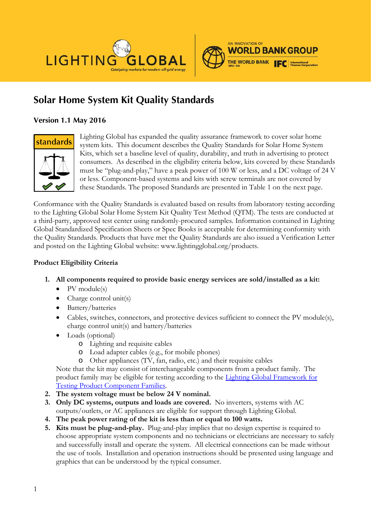



# **Solar Home System Kit Quality Standards**

## **Version 1.1 May 2016**



Lighting Global has expanded the quality assurance framework to cover solar home system kits. This document describes the Quality Standards for Solar Home System Kits, which set a baseline level of quality, durability, and truth in advertising to protect consumers. As described in the eligibility criteria below, kits covered by these Standards must be "plug-and-play," have a peak power of 100 W or less, and a DC voltage of 24 V or less. Component-based systems and kits with screw terminals are not covered by these Standards. The proposed Standards are presented in Table 1 on the next page.

Conformance with the Quality Standards is evaluated based on results from laboratory testing according to the Lighting Global Solar Home System Kit Quality Test Method (QTM). The tests are conducted at a third-party, approved test center using randomly-procured samples. Information contained in Lighting Global Standardized Specification Sheets or Spec Books is acceptable for determining conformity with the Quality Standards. Products that have met the Quality Standards are also issued a Verification Letter and posted on the Lighting Global website: www.lightingglobal.org/products.

### **Product Eligibility Criteria**

- **1. All components required to provide basic energy services are sold/installed as a kit:**
	- PV module(s)
	- Charge control unit(s)
	- Battery/batteries
	- Cables, switches, connectors, and protective devices sufficient to connect the PV module(s), charge control unit(s) and battery/batteries
	- Loads (optional)
		- o Lighting and requisite cables
		- o Load adapter cables (e.g., for mobile phones)
		- o Other appliances (TV, fan, radio, etc.) and their requisite cables

Note that the kit may consist of interchangeable components from a product family. The product family may be eligible for testing according to the [Lighting Global Framework for](http://www.lightingglobal.org/resources/lighting-global-program-documents/)  [Testing Product Component Families.](http://www.lightingglobal.org/resources/lighting-global-program-documents/)

- **2. The system voltage must be below 24 V nominal.**
- **3. Only DC systems, outputs and loads are covered.** No inverters, systems with AC outputs/outlets, or AC appliances are eligible for support through Lighting Global.
- **4. The peak power rating of the kit is less than or equal to 100 watts.**
- **5. Kits must be plug-and-play.** Plug-and-play implies that no design expertise is required to choose appropriate system components and no technicians or electricians are necessary to safely and successfully install and operate the system. All electrical connections can be made without the use of tools. Installation and operation instructions should be presented using language and graphics that can be understood by the typical consumer.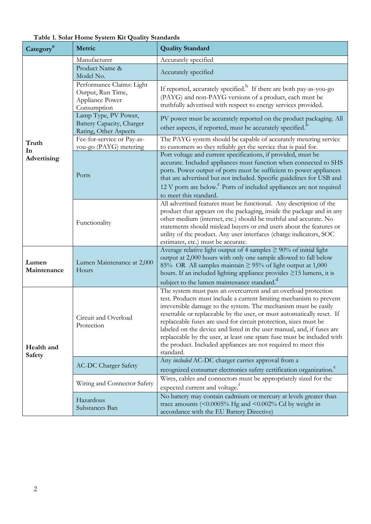| Category <sup>a</sup>       | Metric                                                                           | <b>Quality Standard</b>                                                                                                                                                                                                                                                                                                                                                                                                                                                                                                                                                                   |  |  |
|-----------------------------|----------------------------------------------------------------------------------|-------------------------------------------------------------------------------------------------------------------------------------------------------------------------------------------------------------------------------------------------------------------------------------------------------------------------------------------------------------------------------------------------------------------------------------------------------------------------------------------------------------------------------------------------------------------------------------------|--|--|
|                             | Manufacturer                                                                     | Accurately specified                                                                                                                                                                                                                                                                                                                                                                                                                                                                                                                                                                      |  |  |
|                             | Product Name &<br>Model No.                                                      | Accurately specified                                                                                                                                                                                                                                                                                                                                                                                                                                                                                                                                                                      |  |  |
|                             | Performance Claims: Light<br>Output, Run Time,<br>Appliance Power<br>Consumption | If reported, accurately specified. <sup>b</sup> If there are both pay-as-you-go<br>(PAYG) and non-PAYG versions of a product, each must be<br>truthfully advertised with respect to energy services provided.                                                                                                                                                                                                                                                                                                                                                                             |  |  |
|                             | Lamp Type, PV Power,<br>Battery Capacity, Charger<br>Rating, Other Aspects       | PV power must be accurately reported on the product packaging. All<br>other aspects, if reported, must be accurately specified. <sup>b</sup>                                                                                                                                                                                                                                                                                                                                                                                                                                              |  |  |
| Truth<br>In                 | Fee-for-service or Pay-as-<br>you-go (PAYG) metering                             | The PAYG system should be capable of accurately metering service<br>to customers so they reliably get the service that is paid for.                                                                                                                                                                                                                                                                                                                                                                                                                                                       |  |  |
| Advertising                 | Ports                                                                            | Port voltage and current specifications, if provided, must be<br>accurate. Included appliances must function when connected to SHS<br>ports. Power output of ports must be sufficient to power appliances<br>that are advertised but not included. Specific guidelines for USB and<br>12 V ports are below. Ports of included appliances are not required<br>to meet this standard.                                                                                                                                                                                                       |  |  |
|                             | Functionality                                                                    | All advertised features must be functional. Any description of the<br>product that appears on the packaging, inside the package and in any<br>other medium (internet, etc.) should be truthful and accurate. No<br>statements should mislead buyers or end users about the features or<br>utility of the product. Any user interfaces (charge indicators, SOC<br>estimates, etc.) must be accurate.                                                                                                                                                                                       |  |  |
| Lumen<br>Maintenance        | Lumen Maintenance at 2,000<br>Hours                                              | Average relative light output of 4 samples $\geq 90\%$ of initial light<br>output at 2,000 hours with only one sample allowed to fall below<br>85% OR All samples maintain $\geq$ 95% of light output at 1,000<br>hours. If an included lighting appliance provides $\geq$ 15 lumens, it is<br>subject to the lumen maintenance standard. <sup>d</sup>                                                                                                                                                                                                                                    |  |  |
| Health and<br><b>Safety</b> | Circuit and Overload<br>Protection                                               | The system must pass an overcurrent and an overload protection<br>test. Products must include a current limiting mechanism to prevent<br>irreversible damage to the system. The mechanism must be easily<br>resettable or replaceable by the user, or must automatically reset. If<br>replaceable fuses are used for circuit protection, sizes must be<br>labeled on the device and listed in the user manual, and, if fuses are<br>replaceable by the user, at least one spare fuse must be included with<br>the product. Included appliances are not required to meet this<br>standard. |  |  |
|                             | <b>AC-DC Charger Safety</b>                                                      | Any included AC-DC charger carries approval from a<br>recognized consumer electronics safety certification organization. <sup>e</sup>                                                                                                                                                                                                                                                                                                                                                                                                                                                     |  |  |
|                             | Wiring and Connector Safety                                                      | Wires, cables and connectors must be appropriately sized for the<br>expected current and voltage. <sup>f</sup>                                                                                                                                                                                                                                                                                                                                                                                                                                                                            |  |  |
|                             | Hazardous<br>Substances Ban                                                      | No battery may contain cadmium or mercury at levels greater than<br>trace amounts $($ <0.0005% Hg and <0.002% Cd by weight in<br>accordance with the EU Battery Directive)                                                                                                                                                                                                                                                                                                                                                                                                                |  |  |

**Table 1. Solar Home System Kit Quality Standards**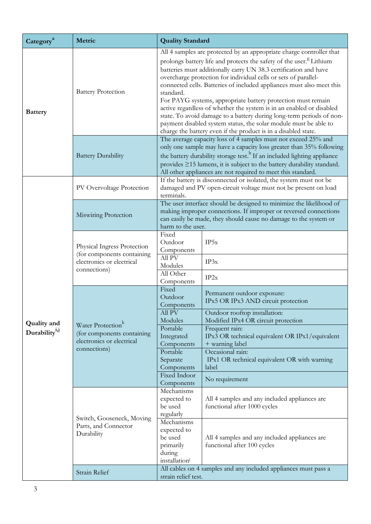| Category <sup>a</sup>     | Metric                                                                                                   | <b>Quality Standard</b>                                                                                                                                                                                                                                                                                                                                                                                                                                                                                                                                                                                                                                                                                                                    |                                                                                      |  |
|---------------------------|----------------------------------------------------------------------------------------------------------|--------------------------------------------------------------------------------------------------------------------------------------------------------------------------------------------------------------------------------------------------------------------------------------------------------------------------------------------------------------------------------------------------------------------------------------------------------------------------------------------------------------------------------------------------------------------------------------------------------------------------------------------------------------------------------------------------------------------------------------------|--------------------------------------------------------------------------------------|--|
| <b>Battery</b>            | <b>Battery Protection</b>                                                                                | All 4 samples are protected by an appropriate charge controller that<br>prolongs battery life and protects the safety of the user. <sup>8</sup> Lithium<br>batteries must additionally carry UN 38.3 certification and have<br>overcharge protection for individual cells or sets of parallel-<br>connected cells. Batteries of included appliances must also meet this<br>standard.<br>For PAYG systems, appropriate battery protection must remain<br>active regardless of whether the system is in an enabled or disabled<br>state. To avoid damage to a battery during long-term periods of non-<br>payment disabled system status, the solar module must be able to<br>charge the battery even if the product is in a disabled state. |                                                                                      |  |
|                           | <b>Battery Durability</b>                                                                                | The average capacity loss of 4 samples must not exceed 25% and<br>only one sample may have a capacity loss greater than 35% following<br>the battery durability storage test. <sup>h</sup> If an included lighting appliance<br>provides ≥15 lumens, it is subject to the battery durability standard.<br>All other appliances are not required to meet this standard.                                                                                                                                                                                                                                                                                                                                                                     |                                                                                      |  |
|                           | PV Overvoltage Protection                                                                                | If the battery is disconnected or isolated, the system must not be<br>damaged and PV open-circuit voltage must not be present on load<br>terminals.                                                                                                                                                                                                                                                                                                                                                                                                                                                                                                                                                                                        |                                                                                      |  |
|                           | Miswiring Protection                                                                                     | The user interface should be designed to minimize the likelihood of<br>making improper connections. If improper or reversed connections<br>can easily be made, they should cause no damage to the system or<br>harm to the user.                                                                                                                                                                                                                                                                                                                                                                                                                                                                                                           |                                                                                      |  |
|                           | Physical Ingress Protection<br>(for components containing<br>electronics or electrical<br>connections)   | Fixed<br>Outdoor<br>Components<br>All PV                                                                                                                                                                                                                                                                                                                                                                                                                                                                                                                                                                                                                                                                                                   | IP5x                                                                                 |  |
|                           |                                                                                                          | Modules<br>All Other<br>Components                                                                                                                                                                                                                                                                                                                                                                                                                                                                                                                                                                                                                                                                                                         | IP3x<br>IP2x                                                                         |  |
|                           | Water Protection <sup>k</sup><br>(for components containing<br>electronics or electrical<br>connections) | Fixed<br>Outdoor<br>Components                                                                                                                                                                                                                                                                                                                                                                                                                                                                                                                                                                                                                                                                                                             | Permanent outdoor exposure:<br>IPx5 OR IPx3 AND circuit protection                   |  |
| <b>Quality and</b>        |                                                                                                          | All PV<br>Modules                                                                                                                                                                                                                                                                                                                                                                                                                                                                                                                                                                                                                                                                                                                          | Outdoor rooftop installation:<br>Modified IPx4 OR circuit protection                 |  |
| Durability <sup>i,j</sup> |                                                                                                          | Portable<br>Integrated<br>Components                                                                                                                                                                                                                                                                                                                                                                                                                                                                                                                                                                                                                                                                                                       | Frequent rain:<br>IPx3 OR technical equivalent OR IPx1/equivalent<br>+ warning label |  |
|                           |                                                                                                          | Portable<br>Separate<br>Components                                                                                                                                                                                                                                                                                                                                                                                                                                                                                                                                                                                                                                                                                                         | Occasional rain:<br>IPx1 OR technical equivalent OR with warning<br>label            |  |
|                           |                                                                                                          | Fixed Indoor<br>Components                                                                                                                                                                                                                                                                                                                                                                                                                                                                                                                                                                                                                                                                                                                 | No requirement                                                                       |  |
|                           | Switch, Gooseneck, Moving<br>Parts, and Connector<br>Durability                                          | Mechanisms<br>expected to<br>be used<br>regularly                                                                                                                                                                                                                                                                                                                                                                                                                                                                                                                                                                                                                                                                                          | All 4 samples and any included appliances are<br>functional after 1000 cycles        |  |
|                           |                                                                                                          | Mechanisms<br>expected to<br>be used<br>primarily<br>during<br>installation                                                                                                                                                                                                                                                                                                                                                                                                                                                                                                                                                                                                                                                                | All 4 samples and any included appliances are<br>functional after 100 cycles         |  |
|                           | Strain Relief                                                                                            | All cables on 4 samples and any included appliances must pass a<br>strain relief test.                                                                                                                                                                                                                                                                                                                                                                                                                                                                                                                                                                                                                                                     |                                                                                      |  |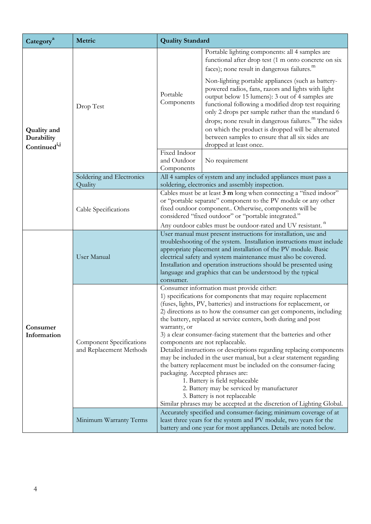| Category <sup>a</sup>                                        | Metric                                                     | <b>Quality Standard</b>                                                                                                                                                                                                                                                                                                                                                                                                                                                                                                                                                                                                                                                                                                                                                                                                                                                                            |                                                                                                                                                                                                                                                                                                                                                                                                                                                                                                                                                                                                                              |  |
|--------------------------------------------------------------|------------------------------------------------------------|----------------------------------------------------------------------------------------------------------------------------------------------------------------------------------------------------------------------------------------------------------------------------------------------------------------------------------------------------------------------------------------------------------------------------------------------------------------------------------------------------------------------------------------------------------------------------------------------------------------------------------------------------------------------------------------------------------------------------------------------------------------------------------------------------------------------------------------------------------------------------------------------------|------------------------------------------------------------------------------------------------------------------------------------------------------------------------------------------------------------------------------------------------------------------------------------------------------------------------------------------------------------------------------------------------------------------------------------------------------------------------------------------------------------------------------------------------------------------------------------------------------------------------------|--|
| <b>Quality and</b><br>Durability<br>Continued <sup>i,j</sup> | Drop Test                                                  | Portable<br>Components                                                                                                                                                                                                                                                                                                                                                                                                                                                                                                                                                                                                                                                                                                                                                                                                                                                                             | Portable lighting components: all 4 samples are<br>functional after drop test (1 m onto concrete on six<br>faces); none result in dangerous failures. <sup>m</sup><br>Non-lighting portable appliances (such as battery-<br>powered radios, fans, razors and lights with light<br>output below 15 lumens): 3 out of 4 samples are<br>functional following a modified drop test requiring<br>only 2 drops per sample rather than the standard 6<br>drops; none result in dangerous failures. <sup>m</sup> The sides<br>on which the product is dropped will be alternated<br>between samples to ensure that all six sides are |  |
|                                                              |                                                            | Fixed Indoor<br>and Outdoor<br>Components                                                                                                                                                                                                                                                                                                                                                                                                                                                                                                                                                                                                                                                                                                                                                                                                                                                          | dropped at least once.<br>No requirement                                                                                                                                                                                                                                                                                                                                                                                                                                                                                                                                                                                     |  |
|                                                              | Soldering and Electronics                                  |                                                                                                                                                                                                                                                                                                                                                                                                                                                                                                                                                                                                                                                                                                                                                                                                                                                                                                    | All 4 samples of system and any included appliances must pass a                                                                                                                                                                                                                                                                                                                                                                                                                                                                                                                                                              |  |
|                                                              | Quality                                                    | soldering, electronics and assembly inspection.                                                                                                                                                                                                                                                                                                                                                                                                                                                                                                                                                                                                                                                                                                                                                                                                                                                    |                                                                                                                                                                                                                                                                                                                                                                                                                                                                                                                                                                                                                              |  |
|                                                              | Cable Specifications                                       | Cables must be at least 3 m long when connecting a "fixed indoor"<br>or "portable separate" component to the PV module or any other<br>fixed outdoor component Otherwise, components will be<br>considered "fixed outdoor" or "portable integrated."                                                                                                                                                                                                                                                                                                                                                                                                                                                                                                                                                                                                                                               |                                                                                                                                                                                                                                                                                                                                                                                                                                                                                                                                                                                                                              |  |
|                                                              |                                                            |                                                                                                                                                                                                                                                                                                                                                                                                                                                                                                                                                                                                                                                                                                                                                                                                                                                                                                    | Any outdoor cables must be outdoor-rated and UV resistant. <sup>n</sup>                                                                                                                                                                                                                                                                                                                                                                                                                                                                                                                                                      |  |
| Consumer<br>Information                                      | User Manual                                                | User manual must present instructions for installation, use and<br>troubleshooting of the system. Installation instructions must include<br>appropriate placement and installation of the PV module. Basic<br>electrical safety and system maintenance must also be covered.<br>Installation and operation instructions should be presented using<br>language and graphics that can be understood by the typical<br>consumer.                                                                                                                                                                                                                                                                                                                                                                                                                                                                      |                                                                                                                                                                                                                                                                                                                                                                                                                                                                                                                                                                                                                              |  |
|                                                              | <b>Component Specifications</b><br>and Replacement Methods | Consumer information must provide either:<br>1) specifications for components that may require replacement<br>(fuses, lights, PV, batteries) and instructions for replacement, or<br>2) directions as to how the consumer can get components, including<br>the battery, replaced at service centers, both during and post<br>warranty, or<br>3) a clear consumer-facing statement that the batteries and other<br>components are not replaceable.<br>Detailed instructions or descriptions regarding replacing components<br>may be included in the user manual, but a clear statement regarding<br>the battery replacement must be included on the consumer-facing<br>packaging. Accepted phrases are:<br>1. Battery is field replaceable<br>2. Battery may be serviced by manufacturer<br>3. Battery is not replaceable<br>Similar phrases may be accepted at the discretion of Lighting Global. |                                                                                                                                                                                                                                                                                                                                                                                                                                                                                                                                                                                                                              |  |
|                                                              | Minimum Warranty Terms                                     | Accurately specified and consumer-facing; minimum coverage of at<br>least three years for the system and PV module, two years for the<br>battery and one year for most appliances. Details are noted below.                                                                                                                                                                                                                                                                                                                                                                                                                                                                                                                                                                                                                                                                                        |                                                                                                                                                                                                                                                                                                                                                                                                                                                                                                                                                                                                                              |  |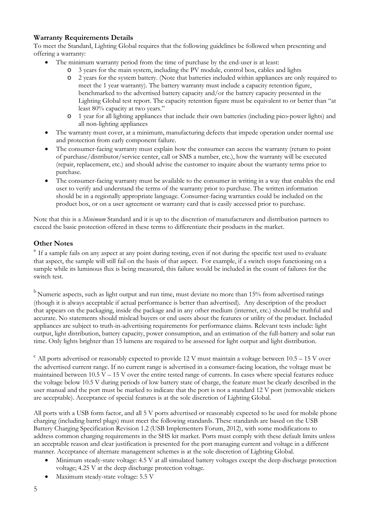#### **Warranty Requirements Details**

To meet the Standard, Lighting Global requires that the following guidelines be followed when presenting and offering a warranty:

- The minimum warranty period from the time of purchase by the end-user is at least:
	- o 3 years for the main system, including the PV module, control box, cables and lights
	- 2 years for the system battery. (Note that batteries included within appliances are only required to meet the 1 year warranty). The battery warranty must include a capacity retention figure, benchmarked to the advertised battery capacity and/or the battery capacity presented in the Lighting Global test report. The capacity retention figure must be equivalent to or better than "at least 80% capacity at two years."
	- o 1 year for all lighting appliances that include their own batteries (including pico-power lights) and all non-lighting appliances
- The warranty must cover, at a minimum, manufacturing defects that impede operation under normal use and protection from early component failure.
- The consumer-facing warranty must explain how the consumer can access the warranty (return to point of purchase/distributor/service center, call or SMS a number, etc.), how the warranty will be executed (repair, replacement, etc.) and should advise the customer to inquire about the warranty terms prior to purchase.
- The consumer-facing warranty must be available to the consumer in writing in a way that enables the end user to verify and understand the terms of the warranty prior to purchase. The written information should be in a regionally appropriate language. Consumer-facing warranties could be included on the product box, or on a user agreement or warranty card that is easily accessed prior to purchase.

Note that this is a *Minimum* Standard and it is up to the discretion of manufacturers and distribution partners to exceed the basic protection offered in these terms to differentiate their products in the market.

#### **Other Notes**

<sup>a</sup> If a sample fails on any aspect at any point during testing, even if not during the specific test used to evaluate that aspect, the sample will still fail on the basis of that aspect. For example, if a switch stops functioning on a sample while its luminous flux is being measured, this failure would be included in the count of failures for the switch test.

<sup>b</sup> Numeric aspects, such as light output and run time, must deviate no more than 15% from advertised ratings (though it is always acceptable if actual performance is better than advertised). Any description of the product that appears on the packaging, inside the package and in any other medium (internet, etc.) should be truthful and accurate. No statements should mislead buyers or end users about the features or utility of the product. Included appliances are subject to truth-in-advertising requirements for performance claims. Relevant tests include: light output, light distribution, battery capacity, power consumption, and an estimation of the full-battery and solar run time. Only lights brighter than 15 lumens are required to be assessed for light output and light distribution.

 $\epsilon$  All ports advertised or reasonably expected to provide 12 V must maintain a voltage between 10.5 – 15 V over the advertised current range. If no current range is advertised in a consumer-facing location, the voltage must be maintained between  $10.5 V - 15 V$  over the entire tested range of currents. In cases where special features reduce the voltage below 10.5 V during periods of low battery state of charge, the feature must be clearly described in the user manual and the port must be marked to indicate that the port is not a standard 12 V port (removable stickers are acceptable). Acceptance of special features is at the sole discretion of Lighting Global.

All ports with a USB form factor, and all 5 V ports advertised or reasonably expected to be used for mobile phone charging (including barrel plugs) must meet the following standards. These standards are based on the USB Battery Charging Specification Revision 1.2 (USB Implementers Forum, 2012), with some modifications to address common charging requirements in the SHS kit market. Ports must comply with these default limits unless an acceptable reason and clear justification is presented for the port managing current and voltage in a different manner. Acceptance of alternate management schemes is at the sole discretion of Lighting Global.

- Minimum steady-state voltage: 4.5 V at all simulated battery voltages except the deep discharge protection voltage; 4.25 V at the deep discharge protection voltage.
- Maximum steady-state voltage: 5.5 V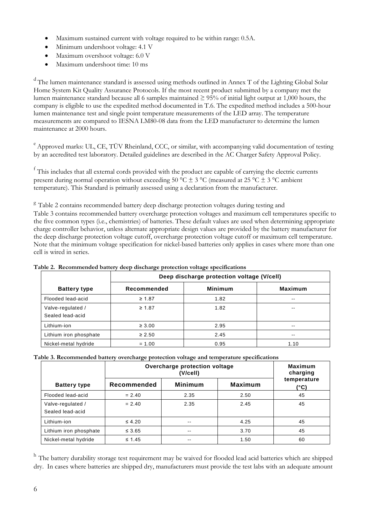- Maximum sustained current with voltage required to be within range: 0.5A.
- Minimum undershoot voltage: 4.1 V
- Maximum overshoot voltage: 6.0 V
- Maximum undershoot time: 10 ms

<sup>d</sup> The lumen maintenance standard is assessed using methods outlined in Annex T of the Lighting Global Solar Home System Kit Quality Assurance Protocols. If the most recent product submitted by a company met the lumen maintenance standard because all 6 samples maintained  $\geq$  95% of initial light output at 1,000 hours, the company is eligible to use the expedited method documented in T.6. The expedited method includes a 500-hour lumen maintenance test and single point temperature measurements of the LED array. The temperature measurements are compared to IESNA LM80-08 data from the LED manufacturer to determine the lumen maintenance at 2000 hours.

<sup>e</sup> Approved marks: UL, CE, TÜV Rheinland, CCC, or similar, with accompanying valid documentation of testing by an accredited test laboratory. Detailed guidelines are described in the AC Charger Safety Approval Policy.

<sup>f</sup> This includes that all external cords provided with the product are capable of carrying the electric currents present during normal operation without exceeding 50 °C  $\pm$  3 °C (measured at 25 °C  $\pm$  3 °C ambient temperature). This Standard is primarily assessed using a declaration from the manufacturer.

<sup>g</sup> [Table 2](#page-5-0) contains recommende[d](#page-5-1) battery deep discharge protection voltages during testing and

[Table 3](#page-5-1) contains recommended battery overcharge protection voltages and maximum cell temperatures specific to the five common types (i.e., chemistries) of batteries. These default values are used when determining appropriate charge controller behavior, unless alternate appropriate design values are provided by the battery manufacturer for the deep discharge protection voltage cutoff, overcharge protection voltage cutoff or maximum cell temperature. Note that the minimum voltage specification for nickel-based batteries only applies in cases where more than one cell is wired in series.

|                                       | Deep discharge protection voltage (V/cell) |                |                |  |
|---------------------------------------|--------------------------------------------|----------------|----------------|--|
| <b>Battery type</b>                   | Recommended                                | <b>Minimum</b> | <b>Maximum</b> |  |
| Flooded lead-acid                     | $\geq 1.87$                                | 1.82           | $\sim$ $\sim$  |  |
| Valve-regulated /<br>Sealed lead-acid | $\geq 1.87$                                | 1.82           | $\sim$ $\sim$  |  |
| Lithium-ion                           | $\geq 3.00$                                | 2.95           | $\sim$ $\sim$  |  |
| Lithium iron phosphate                | $\geq 2.50$                                | 2.45           | $\sim$ $\sim$  |  |
| Nickel-metal hydride                  | $= 1.00$                                   | 0.95           | 1.10           |  |

<span id="page-5-0"></span>**Table 2. Recommended battery deep discharge protection voltage specifications** 

<span id="page-5-1"></span>**Table 3. Recommended battery overcharge protection voltage and temperature specifications**

|                                       | Overcharge protection voltage<br>(V/cell) |                |         | <b>Maximum</b><br>charging |
|---------------------------------------|-------------------------------------------|----------------|---------|----------------------------|
| <b>Battery type</b>                   | Recommended                               | <b>Minimum</b> | Maximum | temperature<br>(°C)        |
| Flooded lead-acid                     | $= 2.40$                                  | 2.35           | 2.50    | 45                         |
| Valve-regulated /<br>Sealed lead-acid | $= 2.40$                                  | 2.35           | 2.45    | 45                         |
| Lithium-ion                           | $\leq 4.20$                               | $- -$          | 4.25    | 45                         |
| Lithium iron phosphate                | $\leq 3.65$                               | $\sim$ $-$     | 3.70    | 45                         |
| Nickel-metal hydride                  | $\leq 1.45$                               | $- -$          | 1.50    | 60                         |

<sup>h</sup> The battery durability storage test requirement may be waived for flooded lead acid batteries which are shipped dry. In cases where batteries are shipped dry, manufacturers must provide the test labs with an adequate amount